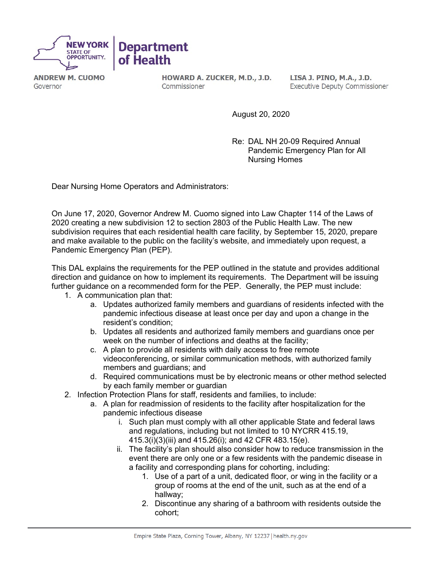

**ANDREW M. CUOMO** Governor

HOWARD A. ZUCKER, M.D., J.D. Commissioner

LISA J. PINO, M.A., J.D. **Executive Deputy Commissioner** 

August 20, 2020

Re: DAL NH 20-09 Required Annual Pandemic Emergency Plan for All Nursing Homes

Dear Nursing Home Operators and Administrators:

On June 17, 2020, Governor Andrew M. Cuomo signed into Law Chapter 114 of the Laws of 2020 creating a new subdivision 12 to section 2803 of the Public Health Law. The new subdivision requires that each residential health care facility, by September 15, 2020, prepare and make available to the public on the facility's website, and immediately upon request, a Pandemic Emergency Plan (PEP).

This DAL explains the requirements for the PEP outlined in the statute and provides additional direction and guidance on how to implement its requirements. The Department will be issuing further guidance on a recommended form for the PEP. Generally, the PEP must include:

- 1. A communication plan that:
	- a. Updates authorized family members and guardians of residents infected with the pandemic infectious disease at least once per day and upon a change in the resident's condition;
	- b. Updates all residents and authorized family members and guardians once per week on the number of infections and deaths at the facility;
	- c. A plan to provide all residents with daily access to free remote videoconferencing, or similar communication methods, with authorized family members and guardians; and
	- d. Required communications must be by electronic means or other method selected by each family member or guardian
- 2. Infection Protection Plans for staff, residents and families, to include:
	- a. A plan for readmission of residents to the facility after hospitalization for the pandemic infectious disease
		- i. Such plan must comply with all other applicable State and federal laws and regulations, including but not limited to 10 NYCRR 415.19, 415.3(i)(3)(iii) and 415.26(i); and 42 CFR 483.15(e).
		- ii. The facility's plan should also consider how to reduce transmission in the event there are only one or a few residents with the pandemic disease in a facility and corresponding plans for cohorting, including:
			- 1. Use of a part of a unit, dedicated floor, or wing in the facility or a group of rooms at the end of the unit, such as at the end of a hallway;
			- 2. Discontinue any sharing of a bathroom with residents outside the cohort;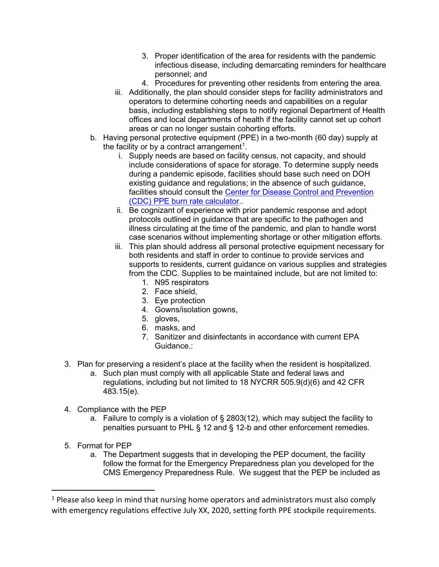- 3. Proper identification of the area for residents with the pandemic infectious disease, including demarcating reminders for healthcare personnel; and
- 4. Procedures for preventing other residents from entering the area.
- iii. Additionally, the plan should consider steps for facility administrators and operators to determine cohorting needs and capabilities on a regular basis, including establishing steps to notify regional Department of Health offices and local departments of health if the facility cannot set up cohort areas or can no longer sustain cohorting efforts.
- b. Having personal protective equipment (PPE) in a two-month (60 day) supply at the facility or by a contract arrangement $^{\rm 1}.$  $^{\rm 1}.$  $^{\rm 1}.$ 
	- i. Supply needs are based on facility census, not capacity, and should include considerations of space for storage. To determine supply needs during a pandemic episode, facilities should base such need on DOH existing guidance and regulations; in the absence of such guidance, facilities should consult the Center for Disease Control and Prevention (CDC) PPE burn rate calculator..
	- ii. Be cognizant of experience with prior pandemic response and adopt protocols outlined in guidance that are specific to the pathogen and illness circulating at the time of the pandemic, and plan to handle worst case scenarios without implementing shortage or other mitigation efforts.
	- iii. This plan should address all personal protective equipment necessary for both residents and staff in order to continue to provide services and supports to residents, current guidance on various supplies and strategies from the CDC. Supplies to be maintained include, but are not limited to:
		- 1. N95 respirators
		- 2. Face shield,
		- 3. Eye protection
		- 4. Gowns/isolation gowns,
		- 5. gloves,
		- 6. masks, and
		- 7. Sanitizer and disinfectants in accordance with current EPA Guidance :
- 3. Plan for preserving a resident's place at the facility when the resident is hospitalized.
	- a. Such plan must comply with all applicable State and federal laws and regulations, including but not limited to 18 NYCRR 505.9(d)(6) and 42 CFR 483.15(e).
- 4. Compliance with the PEP
	- a. Failure to comply is a violation of § 2803(12), which may subject the facility to penalties pursuant to PHL § 12 and § 12-b and other enforcement remedies.
- 5. Format for PEP
	- a. The Department suggests that in developing the PEP document, the facility follow the format for the Emergency Preparedness plan you developed for the CMS Emergency Preparedness Rule. We suggest that the PEP be included as

<span id="page-1-0"></span><sup>&</sup>lt;sup>1</sup> Please also keep in mind that nursing home operators and administrators must also comply with emergency regulations effective July XX, 2020, setting forth PPE stockpile requirements.